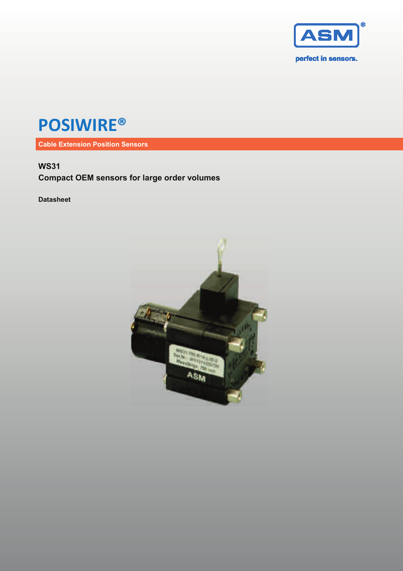

# **POSIWIRE®**

**Cable Extension Position Sensors**

## **WS31**

**Compact OEM sensors for large order volumes** 

**Datasheet** 

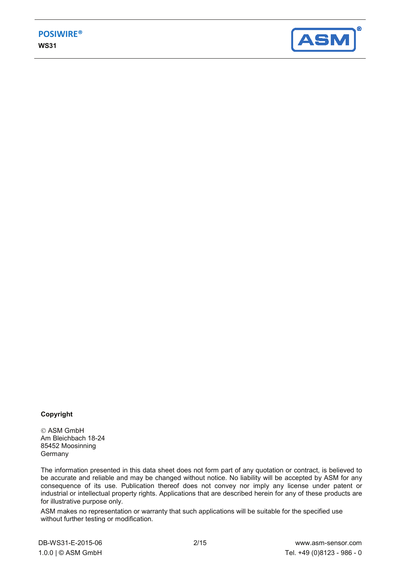

#### **Copyright**

 ASM GmbH Am Bleichbach 18-24 85452 Moosinning **Germany** 

The information presented in this data sheet does not form part of any quotation or contract, is believed to be accurate and reliable and may be changed without notice. No liability will be accepted by ASM for any consequence of its use. Publication thereof does not convey nor imply any license under patent or industrial or intellectual property rights. Applications that are described herein for any of these products are for illustrative purpose only.

ASM makes no representation or warranty that such applications will be suitable for the specified use without further testing or modification.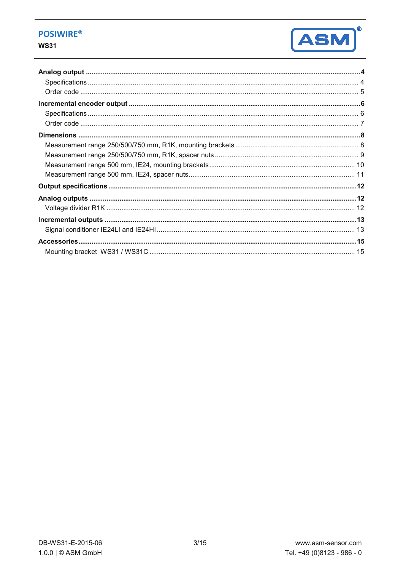### **POSIWIRE®**

#### **WS31**

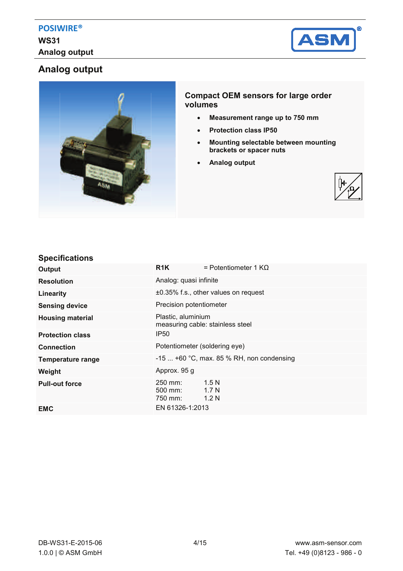

# **Analog output**



#### **Compact OEM sensors for large order volumes**

- x **Measurement range up to 750 mm**
- x **Protection class IP50**
- **Mounting selectable between mounting brackets or spacer nuts**
- x **Analog output**



#### **Specifications**

| Output                   | R1K                                                    | = Potentiometer 1 KΩ                         |  |
|--------------------------|--------------------------------------------------------|----------------------------------------------|--|
| <b>Resolution</b>        | Analog: quasi infinite                                 |                                              |  |
| Linearity                | ±0.35% f.s., other values on request                   |                                              |  |
| <b>Sensing device</b>    | Precision potentiometer                                |                                              |  |
| <b>Housing material</b>  | Plastic, aluminium<br>measuring cable: stainless steel |                                              |  |
| <b>Protection class</b>  | <b>IP50</b>                                            |                                              |  |
| <b>Connection</b>        | Potentiometer (soldering eye)                          |                                              |  |
| <b>Temperature range</b> | $-15$ +60 °C, max. 85 % RH, non condensing             |                                              |  |
| Weight                   | Approx. 95 g                                           |                                              |  |
| <b>Pull-out force</b>    | 250 mm:<br>$500$ mm:<br>750 mm:                        | 1.5N<br>1.7 <sub>N</sub><br>1.2 <sub>N</sub> |  |
| <b>EMC</b>               | EN 61326-1:2013                                        |                                              |  |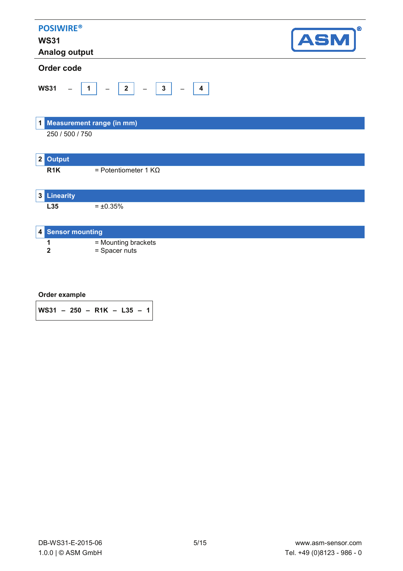| <b>POSIWIRE®</b><br><b>WS31</b><br><b>Analog output</b> |                                                                                     | $^{\circ}$<br><b>ASM</b> |
|---------------------------------------------------------|-------------------------------------------------------------------------------------|--------------------------|
| Order code                                              |                                                                                     |                          |
| <b>WS31</b>                                             | $\begin{array}{c c c c c} \hline 2 & \hline \end{array}$<br>$\overline{\mathbf{1}}$ |                          |
| $\mathbf 1$                                             | <b>Measurement range (in mm)</b>                                                    |                          |
| 250 / 500 / 750                                         |                                                                                     |                          |
| <b>Output</b><br>2                                      |                                                                                     |                          |
| R <sub>1</sub> K                                        | = Potentiometer 1 $K\Omega$                                                         |                          |
| <b>3</b> Linearity                                      |                                                                                     |                          |
| L35                                                     | $= \pm 0.35\%$                                                                      |                          |
| 4 Sensor mounting                                       |                                                                                     |                          |
| 1<br>2                                                  | = Mounting brackets<br>= Spacer nuts                                                |                          |

| $WS31 - 250 - R1K - L35 - 1$ |  |  |  |  |  |  |  |  |
|------------------------------|--|--|--|--|--|--|--|--|
|------------------------------|--|--|--|--|--|--|--|--|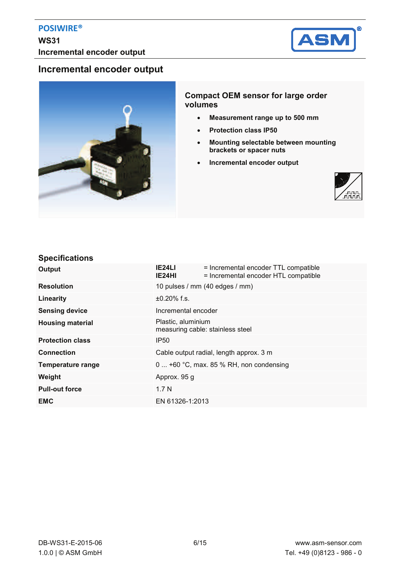

## **Incremental encoder output**



#### **Compact OEM sensor for large order volumes**

- x **Measurement range up to 500 mm**
- x **Protection class IP50**
- x **Mounting selectable between mounting brackets or spacer nuts**
- **•** Incremental encoder output



#### **Specifications**

| Output                  | IE24LI<br>IE24HI    | = Incremental encoder TTL compatible<br>= Incremental encoder HTL compatible |  |
|-------------------------|---------------------|------------------------------------------------------------------------------|--|
| <b>Resolution</b>       |                     | 10 pulses / mm (40 edges / mm)                                               |  |
| Linearity               | $±0.20\%$ f.s.      |                                                                              |  |
| <b>Sensing device</b>   | Incremental encoder |                                                                              |  |
| <b>Housing material</b> | Plastic, aluminium  | measuring cable: stainless steel                                             |  |
| <b>Protection class</b> | <b>IP50</b>         |                                                                              |  |
| <b>Connection</b>       |                     | Cable output radial, length approx. 3 m                                      |  |
| Temperature range       |                     | 0  +60 °C, max. 85 % RH, non condensing                                      |  |
| Weight                  | Approx. 95 g        |                                                                              |  |
| <b>Pull-out force</b>   | 1.7 <sub>N</sub>    |                                                                              |  |
| <b>EMC</b>              | EN 61326-1:2013     |                                                                              |  |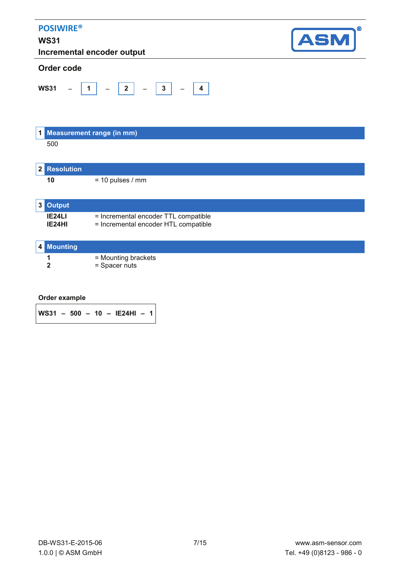| <b>POSIWIRE®</b><br><b>WS31</b> | Incremental encoder output                                                   | ®<br><b>ASM</b> |
|---------------------------------|------------------------------------------------------------------------------|-----------------|
| Order code                      |                                                                              |                 |
| <b>WS31</b>                     | $-$ 3<br>$-$   2  <br>$-$ 4<br>$\overline{1}$                                |                 |
|                                 | 1 Measurement range (in mm)                                                  |                 |
| 500                             |                                                                              |                 |
| <b>Resolution</b><br>2          |                                                                              |                 |
| 10                              | $= 10$ pulses / mm                                                           |                 |
| <b>Output</b><br>3              |                                                                              |                 |
| IE24LI<br>IE24HI                | = Incremental encoder TTL compatible<br>= Incremental encoder HTL compatible |                 |
| <b>Mounting</b><br>4            |                                                                              |                 |
| 1<br>$\mathbf{2}$               | = Mounting brackets<br>= Spacer nuts                                         |                 |

**WS31 – 500 – 10 – IE24HI – 1**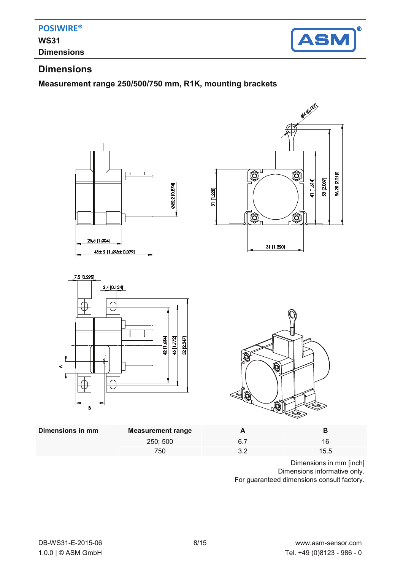

# **Dimensions**

### **Measurement range 250/500/750 mm, R1K, mounting brackets**



Dimensions in mm [inch] Dimensions informative only. For guaranteed dimensions consult factory.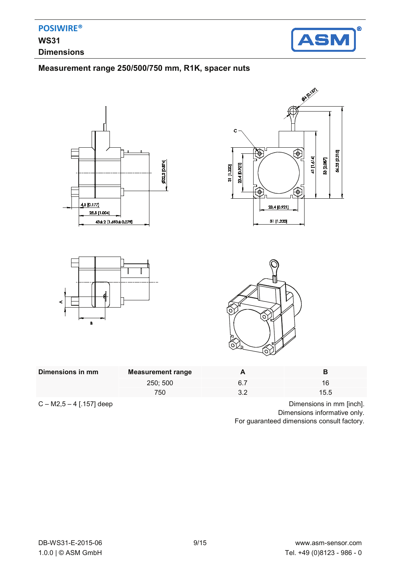

## **Measurement range 250/500/750 mm, R1K, spacer nuts**









| Dimensions in mm | Measurement range |    |      |
|------------------|-------------------|----|------|
|                  | 250; 500          | 6. | 16   |
|                  | 750               |    | 15.5 |
|                  |                   |    |      |

 $C - M2, 5 - 4$  [.157] deep Dimensions in mm [inch]. Dimensions informative only. For guaranteed dimensions consult factory.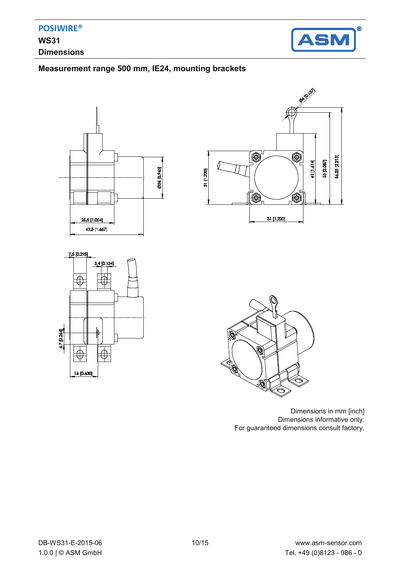

## **Measurement range 500 mm, IE24, mounting brackets**









Dimensions in mm [inch] Dimensions informative only. For guaranteed dimensions consult factory.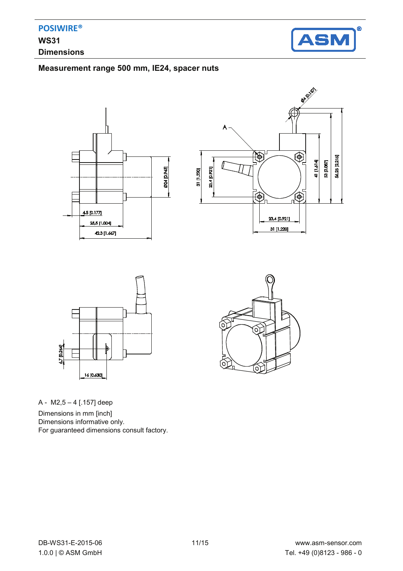

#### **Measurement range 500 mm, IE24, spacer nuts**







Ö òΥ (၀) 6)

A - M2,5 – 4 [.157] deep

Dimensions in mm [inch] Dimensions informative only. For guaranteed dimensions consult factory.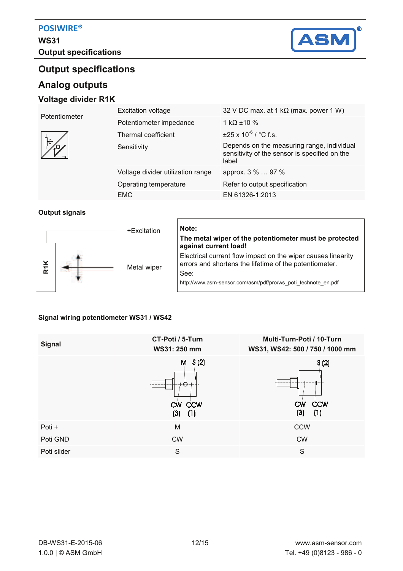

# **Output specifications**

## **Analog outputs**

#### **Voltage divider R1K**

| Potentiometer | <b>Excitation voltage</b>         | 32 V DC max. at 1 k $\Omega$ (max. power 1 W)                                                        |
|---------------|-----------------------------------|------------------------------------------------------------------------------------------------------|
|               | Potentiometer impedance           | 1 kQ $\pm$ 10 %                                                                                      |
|               | Thermal coefficient               | $\pm$ 25 x 10 <sup>-6</sup> / °C f.s.                                                                |
|               | Sensitivity                       | Depends on the measuring range, individual<br>sensitivity of the sensor is specified on the<br>label |
|               | Voltage divider utilization range | approx. 3 %  97 %                                                                                    |
|               | Operating temperature             | Refer to output specification                                                                        |
|               | EMC                               | EN 61326-1:2013                                                                                      |

#### **Output signals**



# **The metal wiper of the potentiometer must be protected against current load!**  Electrical current flow impact on the wiper causes linearity errors and shortens the lifetime of the potentiometer. See:

http://www.asm-sensor.com/asm/pdf/pro/ws\_poti\_technote\_en.pdf

#### **Signal wiring potentiometer WS31 / WS42**

| <b>Signal</b> | CT-Poti / 5-Turn<br>WS31: 250 mm | Multi-Turn-Poti / 10-Turn<br>WS31, WS42: 500 / 750 / 1000 mm |
|---------------|----------------------------------|--------------------------------------------------------------|
|               | $M$ S(2)<br>CW CCW<br>(3)<br>(1) | S(2)<br><b>CCW</b><br>CW<br>(3)<br>(1)                       |
| Poti +        | M                                | <b>CCW</b>                                                   |
| Poti GND      | <b>CW</b>                        | <b>CW</b>                                                    |
| Poti slider   | S                                | S                                                            |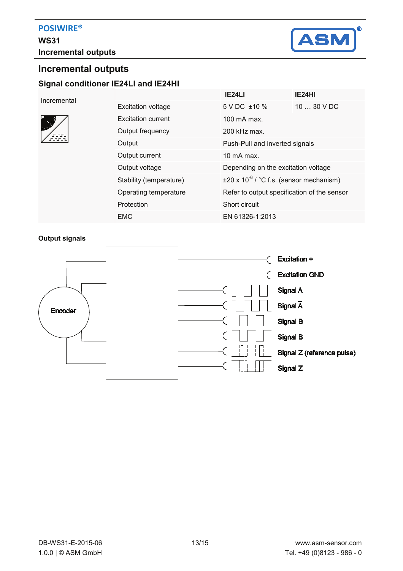

# **Incremental outputs Signal conditioner IE24LI and IE24HI**

#### Incremental



|                           | IE24LI                                               | IE24HI      |  |
|---------------------------|------------------------------------------------------|-------------|--|
| <b>Excitation voltage</b> | 5 V DC ±10 %                                         | $1030$ V DC |  |
| Excitation current        | $100 \text{ mA max}$                                 |             |  |
| Output frequency          | 200 kHz max.                                         |             |  |
| Output                    | Push-Pull and inverted signals                       |             |  |
| Output current            | 10 mA max.                                           |             |  |
| Output voltage            | Depending on the excitation voltage                  |             |  |
| Stability (temperature)   | $\pm 20 \times 10^{-6}$ / °C f.s. (sensor mechanism) |             |  |
| Operating temperature     | Refer to output specification of the sensor          |             |  |
| Protection                | Short circuit                                        |             |  |
| EMC                       | EN 61326-1:2013                                      |             |  |

#### **Output signals**

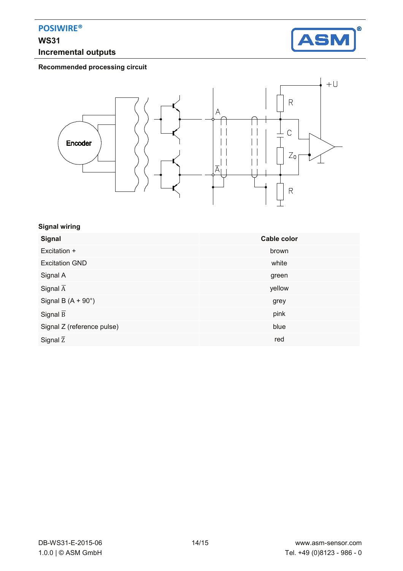# **WS31 Incremental outputs**



**Recommended processing circuit** 



#### **Signal wiring**

| <b>Signal</b>              | Cable color |
|----------------------------|-------------|
| Excitation +               | brown       |
| <b>Excitation GND</b>      | white       |
| Signal A                   | green       |
| Signal $\overline{A}$      | yellow      |
| Signal B $(A + 90^\circ)$  | grey        |
| Signal $\overline{B}$      | pink        |
| Signal Z (reference pulse) | blue        |
| Signal $\overline{z}$      | red         |